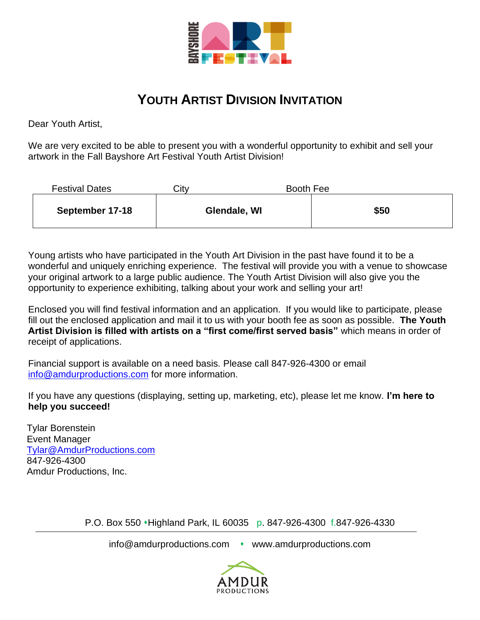

## **YOUTH ARTIST DIVISION INVITATION**

Dear Youth Artist,

We are very excited to be able to present you with a wonderful opportunity to exhibit and sell your artwork in the Fall Bayshore Art Festival Youth Artist Division!

| <b>Festival Dates</b> | Citv | Booth Fee    |      |
|-----------------------|------|--------------|------|
| September 17-18       |      | Glendale, WI | \$50 |

Young artists who have participated in the Youth Art Division in the past have found it to be a wonderful and uniquely enriching experience. The festival will provide you with a venue to showcase your original artwork to a large public audience. The Youth Artist Division will also give you the opportunity to experience exhibiting, talking about your work and selling your art!

Enclosed you will find festival information and an application. If you would like to participate, please fill out the enclosed application and mail it to us with your booth fee as soon as possible. **The Youth Artist Division is filled with artists on a "first come/first served basis"** which means in order of receipt of applications.

Financial support is available on a need basis. Please call 847-926-4300 or email [info@amdurproductions.com](mailto:info@amdurproductions.com) for more information.

If you have any questions (displaying, setting up, marketing, etc), please let me know. **I'm here to help you succeed!**

Tylar Borenstein Event Manager [Tylar@AmdurProductions.com](mailto:Tylar@AmdurProductions.com) 847-926-4300 Amdur Productions, Inc.

P.O. Box 550 ⬧Highland Park, IL 60035 p. 847-926-4300 f.847-926-4330

info@amdurproductions.com • www.amdurproductions.com

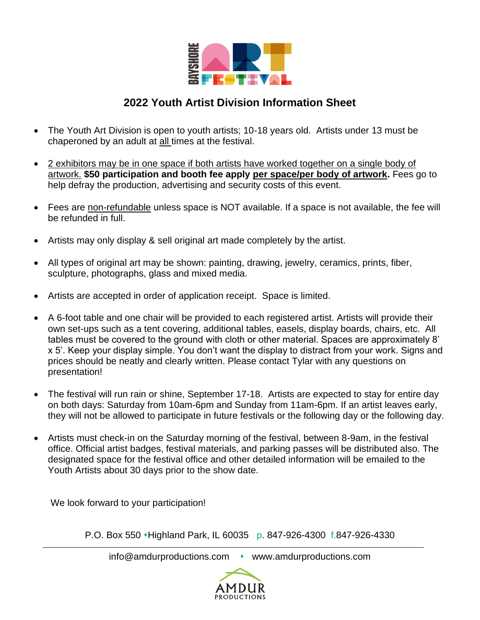

## **2022 Youth Artist Division Information Sheet**

- The Youth Art Division is open to youth artists; 10-18 years old. Artists under 13 must be chaperoned by an adult at all times at the festival.
- 2 exhibitors may be in one space if both artists have worked together on a single body of artwork. **\$50 participation and booth fee apply per space/per body of artwork.** Fees go to help defray the production, advertising and security costs of this event.
- Fees are non-refundable unless space is NOT available. If a space is not available, the fee will be refunded in full.
- Artists may only display & sell original art made completely by the artist.
- All types of original art may be shown: painting, drawing, jewelry, ceramics, prints, fiber, sculpture, photographs, glass and mixed media.
- Artists are accepted in order of application receipt. Space is limited.
- A 6-foot table and one chair will be provided to each registered artist. Artists will provide their own set-ups such as a tent covering, additional tables, easels, display boards, chairs, etc. All tables must be covered to the ground with cloth or other material. Spaces are approximately 8' x 5'. Keep your display simple. You don't want the display to distract from your work. Signs and prices should be neatly and clearly written. Please contact Tylar with any questions on presentation!
- The festival will run rain or shine, September 17-18. Artists are expected to stay for entire day on both days: Saturday from 10am-6pm and Sunday from 11am-6pm. If an artist leaves early, they will not be allowed to participate in future festivals or the following day or the following day.
- Artists must check-in on the Saturday morning of the festival, between 8-9am, in the festival office. Official artist badges, festival materials, and parking passes will be distributed also. The designated space for the festival office and other detailed information will be emailed to the Youth Artists about 30 days prior to the show date.

We look forward to your participation!

P.O. Box 550 • Highland Park, IL 60035 p. 847-926-4300 f.847-926-4330

info@amdurproductions.com • www.amdurproductions.com